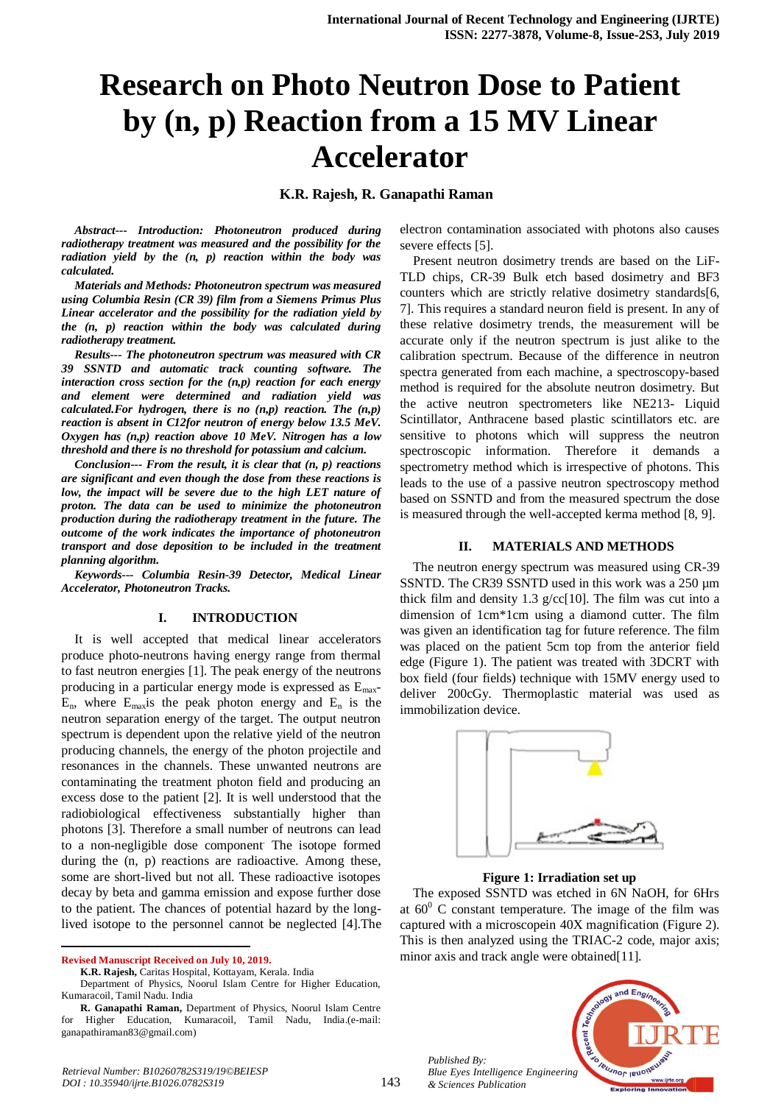# **Research on Photo Neutron Dose to Patient by (n, p) Reaction from a 15 MV Linear Accelerator**

## **K.R. Rajesh, R. Ganapathi Raman**

*Abstract--- Introduction: Photoneutron produced during radiotherapy treatment was measured and the possibility for the radiation yield by the (n, p) reaction within the body was calculated.*

*Materials and Methods: Photoneutron spectrum was measured using Columbia Resin (CR 39) film from a Siemens Primus Plus Linear accelerator and the possibility for the radiation yield by the (n, p) reaction within the body was calculated during radiotherapy treatment.*

*Results--- The photoneutron spectrum was measured with CR 39 SSNTD and automatic track counting software. The interaction cross section for the (n,p) reaction for each energy and element were determined and radiation yield was calculated.For hydrogen, there is no (n,p) reaction. The (n,p) reaction is absent in C12for neutron of energy below 13.5 MeV. Oxygen has (n,p) reaction above 10 MeV. Nitrogen has a low threshold and there is no threshold for potassium and calcium.*

*Conclusion--- From the result, it is clear that (n, p) reactions are significant and even though the dose from these reactions is*  low, the impact will be severe due to the high LET nature of *proton. The data can be used to minimize the photoneutron production during the radiotherapy treatment in the future. The outcome of the work indicates the importance of photoneutron transport and dose deposition to be included in the treatment planning algorithm.*

*Keywords--- Columbia Resin-39 Detector, Medical Linear Accelerator, Photoneutron Tracks.*

### **I. INTRODUCTION**

It is well accepted that medical linear accelerators produce photo-neutrons having energy range from thermal to fast neutron energies [1]. The peak energy of the neutrons producing in a particular energy mode is expressed as Emax- $E_n$ , where  $E_{\text{max}}$  is the peak photon energy and  $E_n$  is the neutron separation energy of the target. The output neutron spectrum is dependent upon the relative yield of the neutron producing channels, the energy of the photon projectile and resonances in the channels. These unwanted neutrons are contaminating the treatment photon field and producing an excess dose to the patient [2]. It is well understood that the radiobiological effectiveness substantially higher than photons [3]. Therefore a small number of neutrons can lead to a non-negligible dose component. The isotope formed during the (n, p) reactions are radioactive. Among these, some are short-lived but not all. These radioactive isotopes decay by beta and gamma emission and expose further dose to the patient. The chances of potential hazard by the longlived isotope to the personnel cannot be neglected [4].The

**Revised Manuscript Received on July 10, 2019.**

-

electron contamination associated with photons also causes severe effects [5].

Present neutron dosimetry trends are based on the LiF-TLD chips, CR-39 Bulk etch based dosimetry and BF3 counters which are strictly relative dosimetry standards[6, 7]. This requires a standard neuron field is present. In any of these relative dosimetry trends, the measurement will be accurate only if the neutron spectrum is just alike to the calibration spectrum. Because of the difference in neutron spectra generated from each machine, a spectroscopy-based method is required for the absolute neutron dosimetry. But the active neutron spectrometers like NE213- Liquid Scintillator, Anthracene based plastic scintillators etc. are sensitive to photons which will suppress the neutron spectroscopic information. Therefore it demands a spectrometry method which is irrespective of photons. This leads to the use of a passive neutron spectroscopy method based on SSNTD and from the measured spectrum the dose is measured through the well-accepted kerma method [8, 9].

#### **II. MATERIALS AND METHODS**

The neutron energy spectrum was measured using CR-39 SSNTD. The CR39 SSNTD used in this work was a 250 µm thick film and density 1.3  $g$ /cc[10]. The film was cut into a dimension of 1cm\*1cm using a diamond cutter. The film was given an identification tag for future reference. The film was placed on the patient 5cm top from the anterior field edge (Figure 1). The patient was treated with 3DCRT with box field (four fields) technique with 15MV energy used to deliver 200cGy. Thermoplastic material was used as immobilization device.



**Figure 1: Irradiation set up**

The exposed SSNTD was etched in 6N NaOH, for 6Hrs at  $60^{\circ}$  C constant temperature. The image of the film was captured with a microscopein 40X magnification (Figure 2). This is then analyzed using the TRIAC-2 code, major axis; minor axis and track angle were obtained [11].



*Published By: Blue Eyes Intelligence Engineering & Sciences Publication* 

**K.R. Rajesh,** Caritas Hospital, Kottayam, Kerala. India

Department of Physics, Noorul Islam Centre for Higher Education, Kumaracoil, Tamil Nadu. India

**R. Ganapathi Raman,** Department of Physics, Noorul Islam Centre for Higher Education, Kumaracoil, Tamil Nadu, India.(e-mail: ganapathiraman83@gmail.com)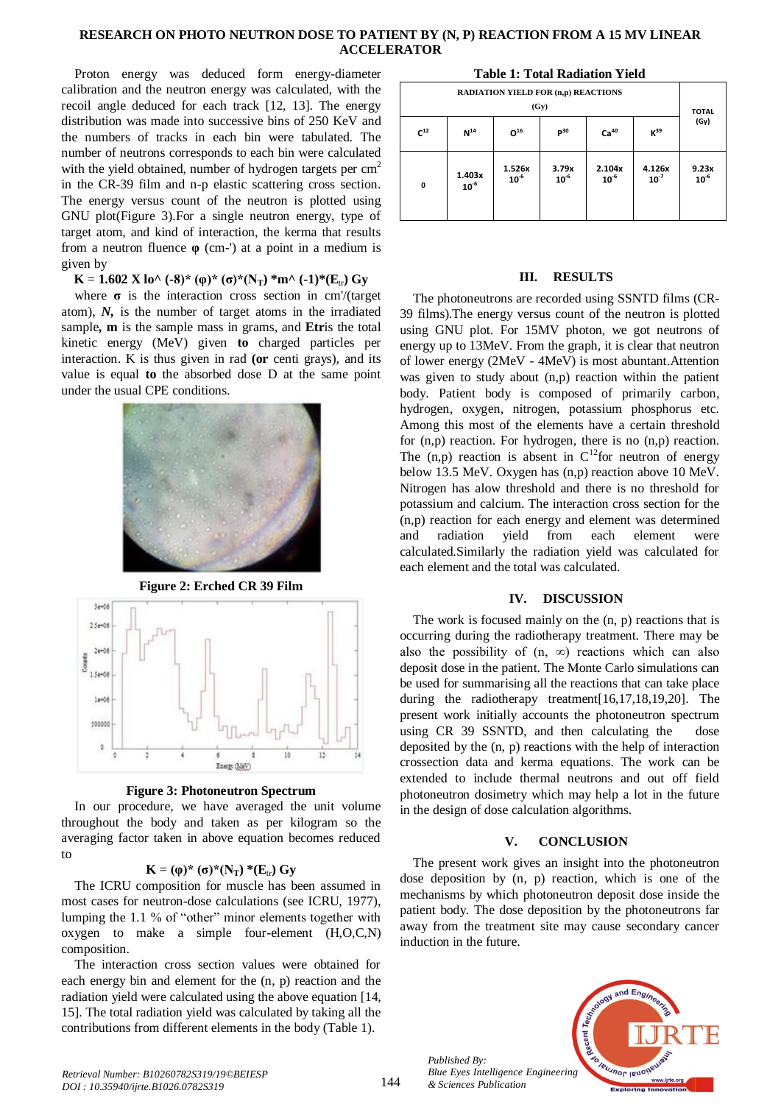## **RESEARCH ON PHOTO NEUTRON DOSE TO PATIENT BY (N, P) REACTION FROM A 15 MV LINEAR ACCELERATOR**

**0**

**1.403x 10-6**

**10-6**

Proton energy was deduced form energy-diameter calibration and the neutron energy was calculated, with the recoil angle deduced for each track [12, 13]. The energy distribution was made into successive bins of 250 KeV and the numbers of tracks in each bin were tabulated. The number of neutrons corresponds to each bin were calculated with the yield obtained, number of hydrogen targets per  $cm<sup>2</sup>$ in the CR-39 film and n-p elastic scattering cross section. The energy versus count of the neutron is plotted using GNU plot(Figure 3).For a single neutron energy, type of target atom, and kind of interaction, the kerma that results from a neutron fluence **φ** (cm-') at a point in a medium is given by

**K** = **1.602 X** lo<sup> $\wedge$ </sup> (-8)\* (φ)\* (σ)\*(N<sub>T</sub>) \*m $\wedge$  (-1)\*(E<sub>tr</sub>) Gy

where **σ** is the interaction cross section in cm'/(target atom), *N,* is the number of target atoms in the irradiated sample**, m** is the sample mass in grams, and **Etr**is the total kinetic energy (MeV) given **to** charged particles per interaction. K is thus given in rad **(or** centi grays), and its value is equal **to** the absorbed dose D at the same point under the usual CPE conditions.



**Figure 2: Erched CR 39 Film**



**Figure 3: Photoneutron Spectrum**

In our procedure, we have averaged the unit volume throughout the body and taken as per kilogram so the averaging factor taken in above equation becomes reduced to

## $\mathbf{K} = (\varphi)^* (\sigma)^* (\mathbf{N}_T)^* (\mathbf{E}_{tr}) \mathbf{G} \mathbf{y}$

The ICRU composition for muscle has been assumed in most cases for neutron-dose calculations (see ICRU, 1977), lumping the 1.1 % of "other" minor elements together with oxygen to make a simple four-element (H,O,C,N) composition.

The interaction cross section values were obtained for each energy bin and element for the (n, p) reaction and the radiation yield were calculated using the above equation [14, 15]. The total radiation yield was calculated by taking all the contributions from different elements in the body (Table 1).

| ravič r. rodni izaditivni ričiu                    |          |               |          |                  |                 |              |
|----------------------------------------------------|----------|---------------|----------|------------------|-----------------|--------------|
| <b>RADIATION YIELD FOR (n,p) REACTIONS</b><br>(Gv) |          |               |          |                  |                 | <b>TOTAL</b> |
| $C^{12}$                                           | $N^{14}$ | $\Omega^{16}$ | $P^{30}$ | Ca <sup>40</sup> | K <sup>39</sup> | (Gy)         |
|                                                    |          | 1.526x        | 3.79x    | 2.104x           | 4.126x          | 9.23x        |

**10-6**

**10-6**

**10-7**

**10-6**

**Table 1: Total Radiation Yield**

### **III. RESULTS**

The photoneutrons are recorded using SSNTD films (CR-39 films).The energy versus count of the neutron is plotted using GNU plot. For 15MV photon, we got neutrons of energy up to 13MeV. From the graph, it is clear that neutron of lower energy (2MeV - 4MeV) is most abuntant.Attention was given to study about (n,p) reaction within the patient body. Patient body is composed of primarily carbon, hydrogen, oxygen, nitrogen, potassium phosphorus etc. Among this most of the elements have a certain threshold for (n,p) reaction. For hydrogen, there is no (n,p) reaction. The  $(n,p)$  reaction is absent in  $C^{12}$  for neutron of energy below 13.5 MeV. Oxygen has (n,p) reaction above 10 MeV. Nitrogen has alow threshold and there is no threshold for potassium and calcium. The interaction cross section for the (n,p) reaction for each energy and element was determined and radiation yield from each element were calculated.Similarly the radiation yield was calculated for each element and the total was calculated.

## **IV. DISCUSSION**

The work is focused mainly on the (n, p) reactions that is occurring during the radiotherapy treatment. There may be also the possibility of  $(n, \infty)$  reactions which can also deposit dose in the patient. The Monte Carlo simulations can be used for summarising all the reactions that can take place during the radiotherapy treatment[16,17,18,19,20]. The present work initially accounts the photoneutron spectrum using CR 39 SSNTD, and then calculating the dose deposited by the (n, p) reactions with the help of interaction crossection data and kerma equations. The work can be extended to include thermal neutrons and out off field photoneutron dosimetry which may help a lot in the future in the design of dose calculation algorithms.

## **V. CONCLUSION**

The present work gives an insight into the photoneutron dose deposition by (n, p) reaction, which is one of the mechanisms by which photoneutron deposit dose inside the patient body. The dose deposition by the photoneutrons far away from the treatment site may cause secondary cancer induction in the future.



*Published By: Blue Eyes Intelligence Engineering & Sciences Publication*